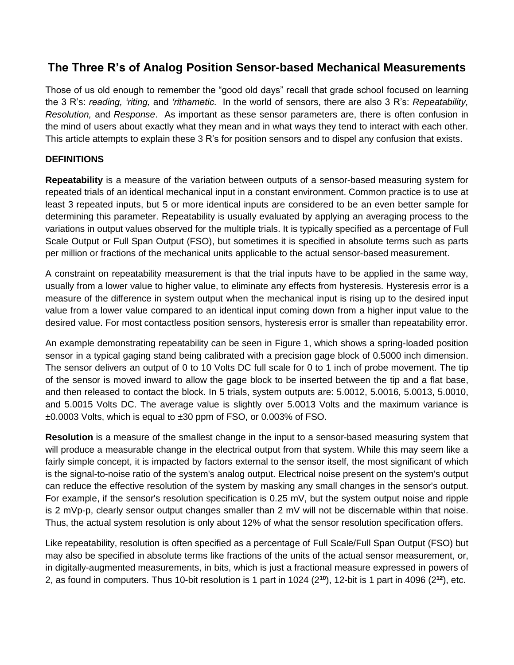## **The Three R's of Analog Position Sensor-based Mechanical Measurements**

Those of us old enough to remember the "good old days" recall that grade school focused on learning the 3 R's: *reading, 'riting,* and *'rithametic*. In the world of sensors, there are also 3 R's: *Repeatability, Resolution,* and *Response*. As important as these sensor parameters are, there is often confusion in the mind of users about exactly what they mean and in what ways they tend to interact with each other. This article attempts to explain these 3 R's for position sensors and to dispel any confusion that exists.

## **DEFINITIONS**

**Repeatability** is a measure of the variation between outputs of a sensor-based measuring system for repeated trials of an identical mechanical input in a constant environment. Common practice is to use at least 3 repeated inputs, but 5 or more identical inputs are considered to be an even better sample for determining this parameter. Repeatability is usually evaluated by applying an averaging process to the variations in output values observed for the multiple trials. It is typically specified as a percentage of Full Scale Output or Full Span Output (FSO), but sometimes it is specified in absolute terms such as parts per million or fractions of the mechanical units applicable to the actual sensor-based measurement.

A constraint on repeatability measurement is that the trial inputs have to be applied in the same way, usually from a lower value to higher value, to eliminate any effects from hysteresis. Hysteresis error is a measure of the difference in system output when the mechanical input is rising up to the desired input value from a lower value compared to an identical input coming down from a higher input value to the desired value. For most contactless position sensors, hysteresis error is smaller than repeatability error.

An example demonstrating repeatability can be seen in Figure 1, which shows a spring-loaded position sensor in a typical gaging stand being calibrated with a precision gage block of 0.5000 inch dimension. The sensor delivers an output of 0 to 10 Volts DC full scale for 0 to 1 inch of probe movement. The tip of the sensor is moved inward to allow the gage block to be inserted between the tip and a flat base, and then released to contact the block. In 5 trials, system outputs are: 5.0012, 5.0016, 5.0013, 5.0010, and 5.0015 Volts DC. The average value is slightly over 5.0013 Volts and the maximum variance is ±0.0003 Volts, which is equal to ±30 ppm of FSO, or 0.003% of FSO.

**Resolution** is a measure of the smallest change in the input to a sensor-based measuring system that will produce a measurable change in the electrical output from that system. While this may seem like a fairly simple concept, it is impacted by factors external to the sensor itself, the most significant of which is the signal-to-noise ratio of the system's analog output. Electrical noise present on the system's output can reduce the effective resolution of the system by masking any small changes in the sensor's output. For example, if the sensor's resolution specification is 0.25 mV, but the system output noise and ripple is 2 mVp-p, clearly sensor output changes smaller than 2 mV will not be discernable within that noise. Thus, the actual system resolution is only about 12% of what the sensor resolution specification offers.

Like repeatability, resolution is often specified as a percentage of Full Scale/Full Span Output (FSO) but may also be specified in absolute terms like fractions of the units of the actual sensor measurement, or, in digitally-augmented measurements, in bits, which is just a fractional measure expressed in powers of 2, as found in computers. Thus 10-bit resolution is 1 part in 1024 (2**<sup>10</sup>**), 12-bit is 1 part in 4096 (2**<sup>12</sup>**), etc.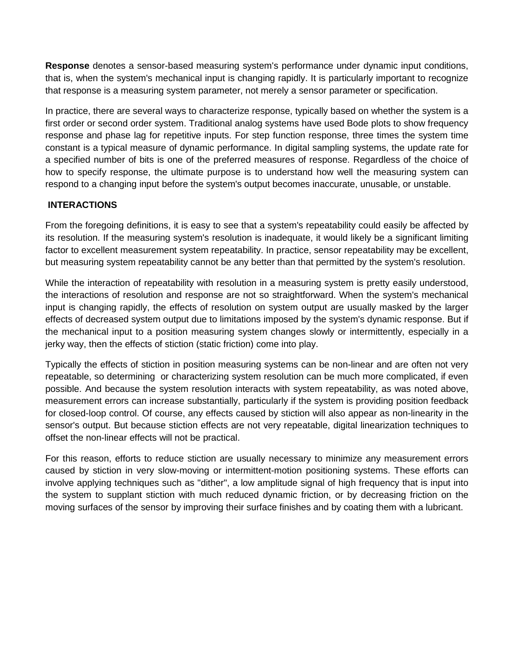**Response** denotes a sensor-based measuring system's performance under dynamic input conditions, that is, when the system's mechanical input is changing rapidly. It is particularly important to recognize that response is a measuring system parameter, not merely a sensor parameter or specification.

In practice, there are several ways to characterize response, typically based on whether the system is a first order or second order system. Traditional analog systems have used Bode plots to show frequency response and phase lag for repetitive inputs. For step function response, three times the system time constant is a typical measure of dynamic performance. In digital sampling systems, the update rate for a specified number of bits is one of the preferred measures of response. Regardless of the choice of how to specify response, the ultimate purpose is to understand how well the measuring system can respond to a changing input before the system's output becomes inaccurate, unusable, or unstable.

## **INTERACTIONS**

From the foregoing definitions, it is easy to see that a system's repeatability could easily be affected by its resolution. If the measuring system's resolution is inadequate, it would likely be a significant limiting factor to excellent measurement system repeatability. In practice, sensor repeatability may be excellent, but measuring system repeatability cannot be any better than that permitted by the system's resolution.

While the interaction of repeatability with resolution in a measuring system is pretty easily understood, the interactions of resolution and response are not so straightforward. When the system's mechanical input is changing rapidly, the effects of resolution on system output are usually masked by the larger effects of decreased system output due to limitations imposed by the system's dynamic response. But if the mechanical input to a position measuring system changes slowly or intermittently, especially in a jerky way, then the effects of stiction (static friction) come into play.

Typically the effects of stiction in position measuring systems can be non-linear and are often not very repeatable, so determining or characterizing system resolution can be much more complicated, if even possible. And because the system resolution interacts with system repeatability, as was noted above, measurement errors can increase substantially, particularly if the system is providing position feedback for closed-loop control. Of course, any effects caused by stiction will also appear as non-linearity in the sensor's output. But because stiction effects are not very repeatable, digital linearization techniques to offset the non-linear effects will not be practical.

For this reason, efforts to reduce stiction are usually necessary to minimize any measurement errors caused by stiction in very slow-moving or intermittent-motion positioning systems. These efforts can involve applying techniques such as "dither", a low amplitude signal of high frequency that is input into the system to supplant stiction with much reduced dynamic friction, or by decreasing friction on the moving surfaces of the sensor by improving their surface finishes and by coating them with a lubricant.